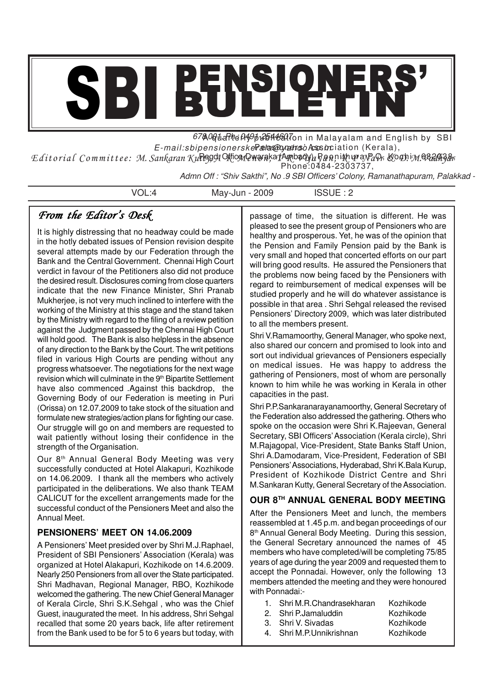# SBI BULLETIN'

67&0@u. Rhe 04,9pt 2644620.7on in Malayalam and English by SBI E-mail:sbipensionerske Pælas@oynaalmosòAssosciation (Kerala),

Editorial Committee: M. Sankaran Ku**ri3991 Mi©91QWera**ka **JAmbady), Ban**nih yr avPaVr, &**0D**ibM NAYAWYYr Phone:0484-2303737,

Admn Off : "Shiv Sakthi", No .9 SBI Officers' Colony, Ramanathapuram, Palakkad -

VOL:4 May-Jun - 2009 ISSUE : 2

# *From the Editor's Desk*

It is highly distressing that no headway could be made in the hotly debated issues of Pension revision despite several attempts made by our Federation through the Bank and the Central Government. Chennai High Court verdict in favour of the Petitioners also did not produce the desired result. Disclosures coming from close quarters indicate that the new Finance Minister, Shri Pranab Mukherjee, is not very much inclined to interfere with the working of the Ministry at this stage and the stand taken by the Ministry with regard to the filing of a review petition against the Judgment passed by the Chennai High Court will hold good. The Bank is also helpless in the absence of any direction to the Bank by the Court. The writ petitions filed in various High Courts are pending without any progress whatsoever. The negotiations for the next wage revision which will culminate in the 9<sup>th</sup> Bipartite Settlement have also commenced .Against this backdrop, the Governing Body of our Federation is meeting in Puri (Orissa) on 12.07.2009 to take stock of the situation and formulate new strategies/action plans for fighting our case. Our struggle will go on and members are requested to wait patiently without losing their confidence in the strength of the Organisation.

Our 8<sup>th</sup> Annual General Body Meeting was very successfully conducted at Hotel Alakapuri, Kozhikode on 14.06.2009. I thank all the members who actively participated in the deliberations. We also thank TEAM CALICUT for the excellent arrangements made for the successful conduct of the Pensioners Meet and also the Annual Meet.

### **PENSIONERS' MEET ON 14.06.2009**

A Pensioners' Meet presided over by Shri M.J.Raphael, President of SBI Pensioners' Association (Kerala) was organized at Hotel Alakapuri, Kozhikode on 14.6.2009. Nearly 250 Pensioners from all over the State participated. Shri Madhavan, Regional Manager, RBO, Kozhikode welcomed the gathering. The new Chief General Manager of Kerala Circle, Shri S.K.Sehgal , who was the Chief Guest, inaugurated the meet. In his address, Shri Sehgal recalled that some 20 years back, life after retirement from the Bank used to be for 5 to 6 years but today, with passage of time, the situation is different. He was pleased to see the present group of Pensioners who are healthy and prosperous. Yet, he was of the opinion that the Pension and Family Pension paid by the Bank is very small and hoped that concerted efforts on our part will bring good results. He assured the Pensioners that the problems now being faced by the Pensioners with regard to reimbursement of medical expenses will be studied properly and he will do whatever assistance is possible in that area . Shri Sehgal released the revised Pensioners' Directory 2009, which was later distributed to all the members present.

Shri V.Ramamoorthy, General Manager, who spoke next, also shared our concern and promised to look into and sort out individual grievances of Pensioners especially on medical issues. He was happy to address the gathering of Pensioners, most of whom are personally known to him while he was working in Kerala in other capacities in the past.

Shri P.P.Sankaranarayanamoorthy, General Secretary of the Federation also addressed the gathering. Others who spoke on the occasion were Shri K.Rajeevan, General Secretary, SBI Officers'Association (Kerala circle), Shri M.Rajagopal, Vice-President, State Banks Staff Union, Shri A.Damodaram, Vice-President, Federation of SBI Pensioners'Associations, Hyderabad, Shri K.Bala Kurup, President of Kozhikode District Centre and Shri M.Sankaran Kutty, General Secretary of the Association.

### **OUR 8TH ANNUAL GENERAL BODY MEETING**

After the Pensioners Meet and lunch, the members reassembled at 1.45 p.m. and began proceedings of our 8 th Annual General Body Meeting. During this session, the General Secretary announced the names of 45 members who have completed/will be completing 75/85 years of age during the year 2009 and requested them to accept the Ponnadai. However, only the following 13 members attended the meeting and they were honoured with Ponnadai:-

- 1. Shri M.R.Chandrasekharan Kozhikode
- 2. Shri P.Jamaluddin Kozhikode<br>3. Shri V. Sivadas Kozhikode
- 3. Shri V. Sivadas
- 
- 4. Shri M.P.Unnikrishnan Kozhikode
-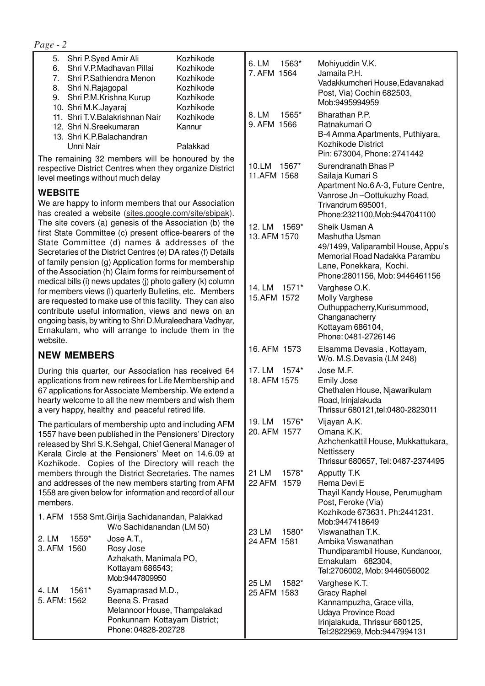*Page - 2*

| 5.             | Shri P.Syed Amir Ali                                      | Kozhikode |
|----------------|-----------------------------------------------------------|-----------|
| 6.             | Shri V.P.Madhavan Pillai                                  | Kozhikode |
| 7 <sub>1</sub> | Shri P.Sathiendra Menon                                   | Kozhikode |
| 8.             | Shri N.Rajagopal                                          | Kozhikode |
|                | 9. Shri P.M.Krishna Kurup                                 | Kozhikode |
|                | 10. Shri M.K.Jayaraj                                      | Kozhikode |
|                | 11. Shri T.V.Balakrishnan Nair                            | Kozhikode |
|                | 12. Shri N.Sreekumaran                                    | Kannur    |
|                | 13. Shri K.P.Balachandran                                 |           |
|                | Unni Nair                                                 | Palakkad  |
|                | والجبارا ومستموما وما الثبت وسموا ومومون ووالموامنة ومومس |           |

The remaining 32 members will be honoured by the respective District Centres when they organize District level meetings without much delay

### **WEBSITE**

We are happy to inform members that our Association has created a website (sites.google.com/site/sbipak). The site covers (a) genesis of the Association (b) the first State Committee (c) present office-bearers of the State Committee (d) names & addresses of the Secretaries of the District Centres (e) DA rates (f) Details of family pension (g) Application forms for membership of the Association (h) Claim forms for reimbursement of medical bills (i) news updates (j) photo gallery (k) column for members views (l) quarterly Bulletins, etc. Members are requested to make use of this facility. They can also contribute useful information, views and news on an ongoing basis, by writing to Shri D.Muraleedhara Vadhyar, Ernakulam, who will arrange to include them in the website.

### **NEW MEMBERS**

During this quarter, our Association has received 64 applications from new retirees for Life Membership and 67 applications for Associate Membership. We extend a hearty welcome to all the new members and wish them a very happy, healthy and peaceful retired life.

The particulars of membership upto and including AFM 1557 have been published in the Pensioners' Directory released by Shri S.K.Sehgal, Chief General Manager of Kerala Circle at the Pensioners' Meet on 14.6.09 at Kozhikode. Copies of the Directory will reach the members through the District Secretaries. The names and addresses of the new members starting from AFM 1558 are given below for information and record of all our members.

|                               | 1. AFM 1558 Smt. Girija Sachidanandan, Palakkad<br>W/o Sachidanandan (LM 50)                                                |
|-------------------------------|-----------------------------------------------------------------------------------------------------------------------------|
| 2. LM<br>1559*<br>3. AFM 1560 | Jose A.T.,<br>Rosy Jose<br>Azhakath, Manimala PO,<br>Kottayam 686543;<br>Mob:9447809950                                     |
| 4. LM $1561*$<br>5. AFM: 1562 | Syamaprasad M.D.,<br>Beena S. Prasad<br>Melannoor House, Thampalakad<br>Ponkunnam Kottayam District;<br>Phone: 04828-202728 |

| 6. LM<br>1563*<br>7. AFM 1564    | Mohiyuddin V.K.<br>Jamaila P.H.<br>Vadakkumcheri House, Edavanakad<br>Post, Via) Cochin 682503,<br>Mob:9495994959                                                     |
|----------------------------------|-----------------------------------------------------------------------------------------------------------------------------------------------------------------------|
| 8. LM 1565*<br>9. AFM 1566       | Bharathan P.P.<br>Ratnakumari O<br>B-4 Amma Apartments, Puthiyara,<br>Kozhikode District<br>Pin: 673004, Phone: 2741442                                               |
| 10.LM<br>1567*<br>11.AFM 1568    | Surendranath Bhas P<br>Sailaja Kumari S<br>Apartment No.6 A-3, Future Centre,<br>Vanrose Jn-Oottukuzhy Road,<br>Trivandrum 695001,<br>Phone:2321100, Mob:9447041100   |
| 12. LM 1569*<br>13. AFM 1570     | Sheik Usman A<br>Mashutha Usman<br>49/1499, Valiparambil House, Appu's<br>Memorial Road Nadakka Parambu<br>Lane, Ponekkara, Kochi.<br>Phone: 2801156, Mob: 9446461156 |
| 14. LM 1571*<br>15.AFM 1572      | Varghese O.K.<br><b>Molly Varghese</b><br>Outhuppacherry, Kurisummood,<br>Changanacherry<br>Kottayam 686104,<br>Phone: 0481-2726146                                   |
| 16. AFM 1573                     | Elsamma Devasia, Kottayam,<br>W/o. M.S.Devasia (LM 248)                                                                                                               |
| 17. LM 1574*<br>18. AFM 1575     | Jose M.F.<br>Emily Jose<br>Chethalen House, Njawarikulam<br>Road, Irinjalakuda<br>Thrissur 680121, tel: 0480-2823011                                                  |
| 19. LM<br>1576*<br>20. AFM 1577  | Vijayan A.K.<br>Omana K.K.<br>Azhchenkattil House, Mukkattukara,<br>Nettissery<br>Thrissur 680657, Tel: 0487-2374495                                                  |
| 21 LM<br>1578*<br>22 AFM<br>1579 | Apputty T.K<br>Rema Devi E<br>Thayil Kandy House, Perumugham<br>Post, Feroke (Via)<br>Kozhikode 673631. Ph:2441231.<br>Mob:9447418649                                 |
| 23 LM<br>1580*<br>24 AFM 1581    | Viswanathan T.K.<br>Ambika Viswanathan<br>Thundiparambil House, Kundanoor,<br>Ernakulam 682304,<br>Tel:2706002, Mob: 9446056002                                       |
| 25 LM<br>1582*<br>25 AFM 1583    | Varghese K.T.<br><b>Gracy Raphel</b><br>Kannampuzha, Grace villa,<br>Udaya Province Road<br>Irinjalakuda, Thrissur 680125,<br>Tel:2822969, Mob:9447994131             |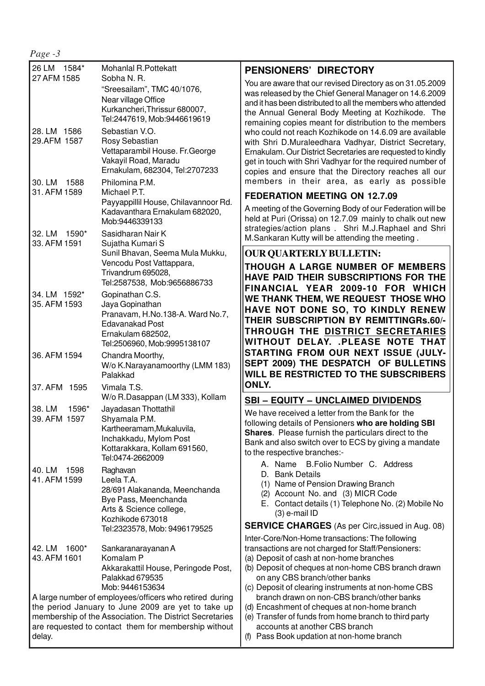|--|--|

| 26 LM 1584*<br>27 AFM 1585                                                                                    | Mohanlal R.Pottekatt                                                                                                                             | <b>PENSIONERS' DIRECTORY</b>                                                                                                                                                                                                                                                                        |
|---------------------------------------------------------------------------------------------------------------|--------------------------------------------------------------------------------------------------------------------------------------------------|-----------------------------------------------------------------------------------------------------------------------------------------------------------------------------------------------------------------------------------------------------------------------------------------------------|
|                                                                                                               | Sobha N. R.<br>"Sreesailam", TMC 40/1076,<br>Near village Office<br>Kurkancheri, Thrissur 680007,<br>Tel:2447619, Mob:9446619619                 | You are aware that our revised Directory as on 31.05.2009<br>was released by the Chief General Manager on 14.6.2009<br>and it has been distributed to all the members who attended<br>the Annual General Body Meeting at Kozhikode. The<br>remaining copies meant for distribution to the members   |
| 28. LM 1586<br>29.AFM 1587                                                                                    | Sebastian V.O.<br>Rosy Sebastian<br>Vettaparambil House. Fr. George<br>Vakayil Road, Maradu<br>Ernakulam, 682304, Tel:2707233                    | who could not reach Kozhikode on 14.6.09 are available<br>with Shri D.Muraleedhara Vadhyar, District Secretary,<br>Ernakulam. Our District Secretaries are requested to kindly<br>get in touch with Shri Vadhyar for the required number of<br>copies and ensure that the Directory reaches all our |
| 30. LM<br>1588<br>31. AFM 1589                                                                                | Philomina P.M.<br>Michael P.T.                                                                                                                   | members in their area, as early as possible                                                                                                                                                                                                                                                         |
|                                                                                                               | Payyappillil House, Chilavannoor Rd.<br>Kadavanthara Ernakulam 682020,<br>Mob:9446339133                                                         | <b>FEDERATION MEETING ON 12.7.09</b><br>A meeting of the Governing Body of our Federation will be<br>held at Puri (Orissa) on 12.7.09 mainly to chalk out new                                                                                                                                       |
| 32. LM 1590*<br>33. AFM 1591                                                                                  | Sasidharan Nair K<br>Sujatha Kumari S                                                                                                            | strategies/action plans . Shri M.J.Raphael and Shri<br>M.Sankaran Kutty will be attending the meeting.                                                                                                                                                                                              |
|                                                                                                               | Sunil Bhavan, Seema Mula Mukku,                                                                                                                  | <b>OUR QUARTERLY BULLETIN:</b>                                                                                                                                                                                                                                                                      |
|                                                                                                               | Vencodu Post Vattappara,<br>Trivandrum 695028,<br>Tel:2587538, Mob:9656886733                                                                    | THOUGH A LARGE NUMBER OF MEMBERS<br>HAVE PAID THEIR SUBSCRIPTIONS FOR THE<br>FINANCIAL YEAR 2009-10 FOR WHICH                                                                                                                                                                                       |
| 34. LM 1592*<br>35. AFM 1593                                                                                  | Gopinathan C.S.<br>Jaya Gopinathan<br>Pranavam, H.No.138-A. Ward No.7,<br>Edavanakad Post<br>Ernakulam 682502,<br>Tel:2506960, Mob:9995138107    | WE THANK THEM, WE REQUEST THOSE WHO<br>HAVE NOT DONE SO, TO KINDLY RENEW<br>THEIR SUBSCRIPTION BY REMITTINGRs.60/-<br>THROUGH THE DISTRICT SECRETARIES<br>WITHOUT DELAY. . PLEASE NOTE THAT                                                                                                         |
| 36. AFM 1594                                                                                                  | Chandra Moorthy,<br>W/o K.Narayanamoorthy (LMM 183)<br>Palakkad                                                                                  | STARTING FROM OUR NEXT ISSUE (JULY-<br>SEPT 2009) THE DESPATCH OF BULLETINS<br>WILL BE RESTRICTED TO THE SUBSCRIBERS                                                                                                                                                                                |
| 37. AFM 1595                                                                                                  | Vimala T.S.<br>W/o R.Dasappan (LM 333), Kollam                                                                                                   | ONLY.<br><b>SBI - EQUITY - UNCLAIMED DIVIDENDS</b>                                                                                                                                                                                                                                                  |
| 38. LM<br>1596*<br>39. AFM 1597                                                                               | Jayadasan Thottathil<br>Shyamala P.M.<br>Kartheeramam, Mukaluvila,<br>Inchakkadu, Mylom Post<br>Kottarakkara, Kollam 691560,<br>Tel:0474-2662009 | We have received a letter from the Bank for the<br>following details of Pensioners who are holding SBI<br>Shares. Please furnish the particulars direct to the<br>Bank and also switch over to ECS by giving a mandate<br>to the respective branches:-                                              |
| 1598<br>40. LM<br>41. AFM 1599                                                                                | Raghavan<br>Leela T.A.<br>28/691 Alakananda, Meenchanda<br>Bye Pass, Meenchanda<br>Arts & Science college,<br>Kozhikode 673018                   | A. Name B. Folio Number C. Address<br>D. Bank Details<br>(1) Name of Pension Drawing Branch<br>(2) Account No. and (3) MICR Code<br>E. Contact details (1) Telephone No. (2) Mobile No<br>$(3)$ e-mail ID                                                                                           |
|                                                                                                               | Tel:2323578, Mob: 9496179525                                                                                                                     | <b>SERVICE CHARGES</b> (As per Circ, issued in Aug. 08)                                                                                                                                                                                                                                             |
| 42. LM<br>1600*<br>43. AFM 1601                                                                               | Sankaranarayanan A<br>Komalam P<br>Akkarakattil House, Peringode Post,<br>Palakkad 679535<br>Mob: 9446153634                                     | Inter-Core/Non-Home transactions: The following<br>transactions are not charged for Staff/Pensioners:<br>(a) Deposit of cash at non-home branches<br>(b) Deposit of cheques at non-home CBS branch drawn<br>on any CBS branch/other banks<br>(c) Deposit of clearing instruments at non-home CBS    |
| A large number of employees/officers who retired during<br>the period January to June 2009 are yet to take up |                                                                                                                                                  | branch drawn on non-CBS branch/other banks                                                                                                                                                                                                                                                          |